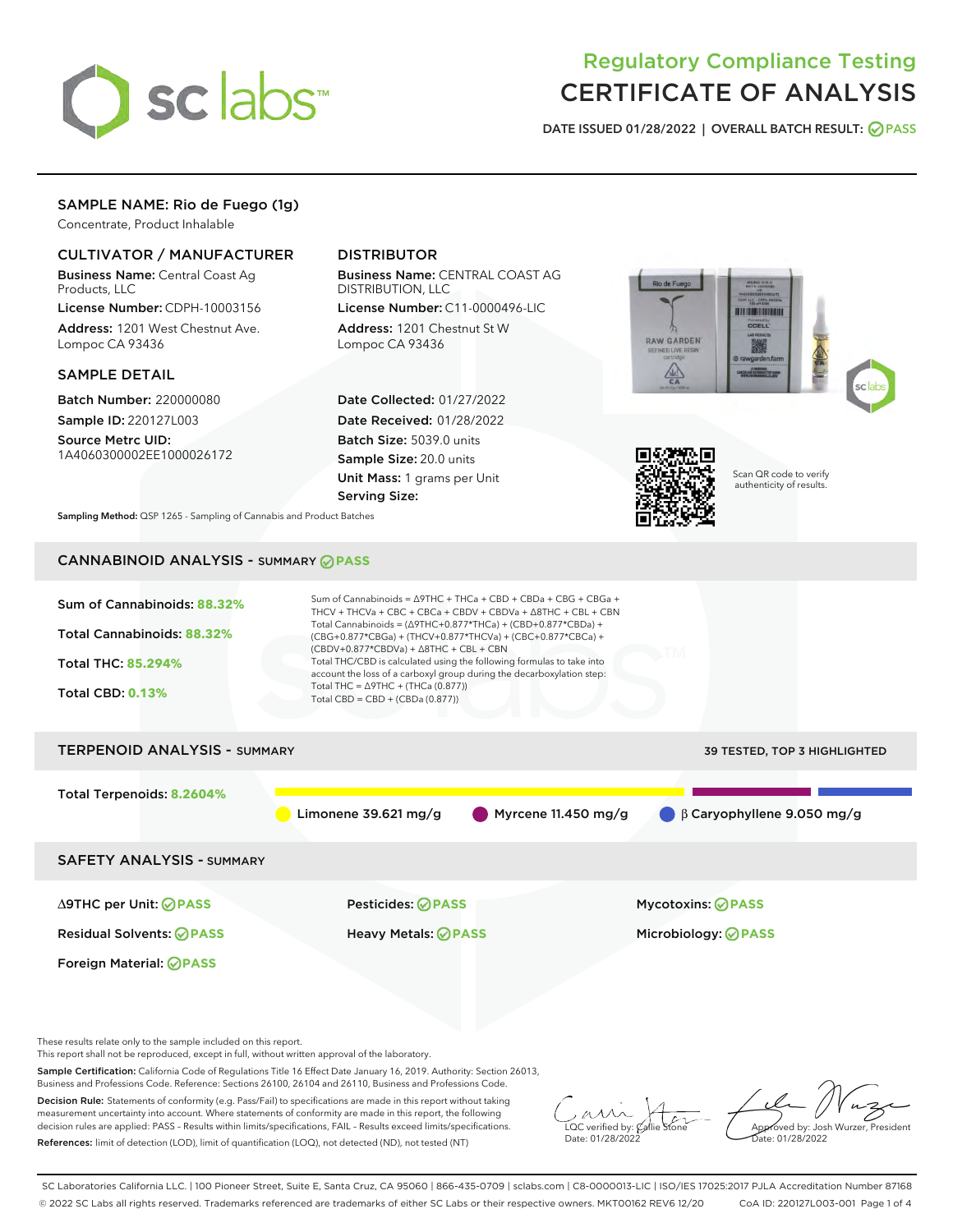

# Regulatory Compliance Testing CERTIFICATE OF ANALYSIS

DATE ISSUED 01/28/2022 | OVERALL BATCH RESULT: @ PASS

## SAMPLE NAME: Rio de Fuego (1g)

Concentrate, Product Inhalable

## CULTIVATOR / MANUFACTURER

Business Name: Central Coast Ag Products, LLC

License Number: CDPH-10003156 Address: 1201 West Chestnut Ave. Lompoc CA 93436

#### SAMPLE DETAIL

Batch Number: 220000080 Sample ID: 220127L003

Source Metrc UID: 1A4060300002EE1000026172

## DISTRIBUTOR

Business Name: CENTRAL COAST AG DISTRIBUTION, LLC

License Number: C11-0000496-LIC Address: 1201 Chestnut St W Lompoc CA 93436

Date Collected: 01/27/2022 Date Received: 01/28/2022 Batch Size: 5039.0 units Sample Size: 20.0 units Unit Mass: 1 grams per Unit Serving Size:





Scan QR code to verify authenticity of results.

Sampling Method: QSP 1265 - Sampling of Cannabis and Product Batches

## CANNABINOID ANALYSIS - SUMMARY **PASS**



This report shall not be reproduced, except in full, without written approval of the laboratory.

Sample Certification: California Code of Regulations Title 16 Effect Date January 16, 2019. Authority: Section 26013, Business and Professions Code. Reference: Sections 26100, 26104 and 26110, Business and Professions Code.

Decision Rule: Statements of conformity (e.g. Pass/Fail) to specifications are made in this report without taking measurement uncertainty into account. Where statements of conformity are made in this report, the following decision rules are applied: PASS – Results within limits/specifications, FAIL – Results exceed limits/specifications. References: limit of detection (LOD), limit of quantification (LOQ), not detected (ND), not tested (NT)

 $\overline{\text{C}}$  verified by:  $\mathcal C$ Date: 01/28/2022

Approved by: Josh Wurzer, President ate: 01/28/2022

SC Laboratories California LLC. | 100 Pioneer Street, Suite E, Santa Cruz, CA 95060 | 866-435-0709 | sclabs.com | C8-0000013-LIC | ISO/IES 17025:2017 PJLA Accreditation Number 87168 © 2022 SC Labs all rights reserved. Trademarks referenced are trademarks of either SC Labs or their respective owners. MKT00162 REV6 12/20 CoA ID: 220127L003-001 Page 1 of 4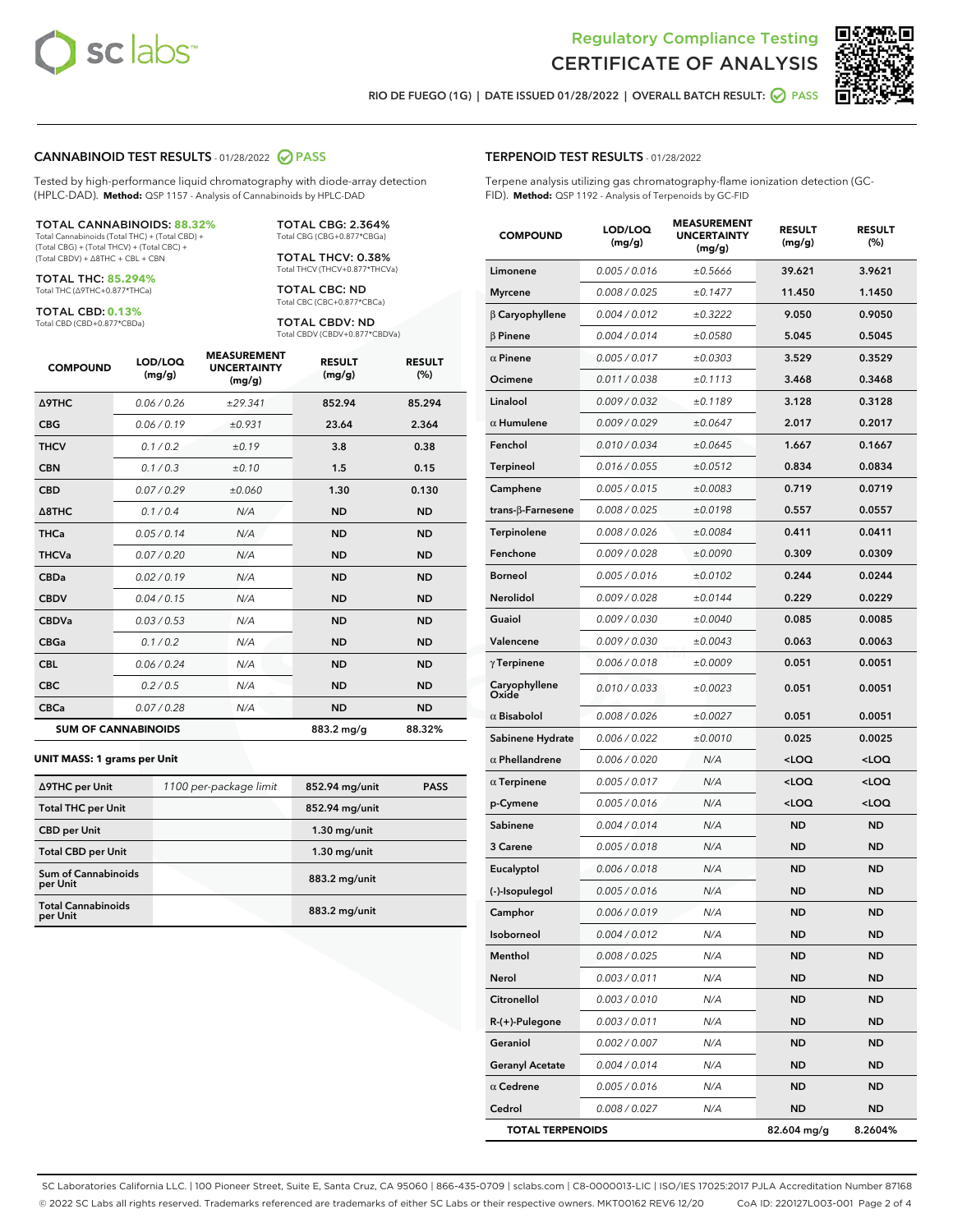



RIO DE FUEGO (1G) | DATE ISSUED 01/28/2022 | OVERALL BATCH RESULT:  $\bigcirc$  PASS

#### CANNABINOID TEST RESULTS - 01/28/2022 2 PASS

Tested by high-performance liquid chromatography with diode-array detection (HPLC-DAD). **Method:** QSP 1157 - Analysis of Cannabinoids by HPLC-DAD

#### TOTAL CANNABINOIDS: **88.32%**

Total Cannabinoids (Total THC) + (Total CBD) + (Total CBG) + (Total THCV) + (Total CBC) + (Total CBDV) + ∆8THC + CBL + CBN

TOTAL THC: **85.294%** Total THC (∆9THC+0.877\*THCa)

TOTAL CBD: **0.13%**

Total CBD (CBD+0.877\*CBDa)

TOTAL CBG: 2.364% Total CBG (CBG+0.877\*CBGa)

TOTAL THCV: 0.38% Total THCV (THCV+0.877\*THCVa)

TOTAL CBC: ND Total CBC (CBC+0.877\*CBCa)

TOTAL CBDV: ND Total CBDV (CBDV+0.877\*CBDVa)

| <b>COMPOUND</b>            | LOD/LOQ<br>(mg/g) | <b>MEASUREMENT</b><br><b>UNCERTAINTY</b><br>(mg/g) | <b>RESULT</b><br>(mg/g) | <b>RESULT</b><br>(%) |
|----------------------------|-------------------|----------------------------------------------------|-------------------------|----------------------|
| <b>A9THC</b>               | 0.06 / 0.26       | ±29.341                                            | 852.94                  | 85.294               |
| <b>CBG</b>                 | 0.06/0.19         | ±0.931                                             | 23.64                   | 2.364                |
| <b>THCV</b>                | 0.1/0.2           | ±0.19                                              | 3.8                     | 0.38                 |
| <b>CBN</b>                 | 0.1 / 0.3         | ±0.10                                              | 1.5                     | 0.15                 |
| <b>CBD</b>                 | 0.07/0.29         | ±0.060                                             | 1.30                    | 0.130                |
| $\triangle$ 8THC           | 0.1 / 0.4         | N/A                                                | <b>ND</b>               | <b>ND</b>            |
| <b>THCa</b>                | 0.05/0.14         | N/A                                                | <b>ND</b>               | <b>ND</b>            |
| <b>THCVa</b>               | 0.07/0.20         | N/A                                                | <b>ND</b>               | <b>ND</b>            |
| <b>CBDa</b>                | 0.02/0.19         | N/A                                                | <b>ND</b>               | <b>ND</b>            |
| <b>CBDV</b>                | 0.04/0.15         | N/A                                                | <b>ND</b>               | <b>ND</b>            |
| <b>CBDVa</b>               | 0.03/0.53         | N/A                                                | <b>ND</b>               | <b>ND</b>            |
| <b>CBGa</b>                | 0.1/0.2           | N/A                                                | <b>ND</b>               | <b>ND</b>            |
| <b>CBL</b>                 | 0.06 / 0.24       | N/A                                                | <b>ND</b>               | <b>ND</b>            |
| <b>CBC</b>                 | 0.2 / 0.5         | N/A                                                | <b>ND</b>               | <b>ND</b>            |
| <b>CBCa</b>                | 0.07/0.28         | N/A                                                | <b>ND</b>               | <b>ND</b>            |
| <b>SUM OF CANNABINOIDS</b> |                   |                                                    | 883.2 mg/g              | 88.32%               |

#### **UNIT MASS: 1 grams per Unit**

| ∆9THC per Unit                         | 1100 per-package limit | 852.94 mg/unit | <b>PASS</b> |
|----------------------------------------|------------------------|----------------|-------------|
| <b>Total THC per Unit</b>              |                        | 852.94 mg/unit |             |
| <b>CBD</b> per Unit                    |                        | $1.30$ mg/unit |             |
| <b>Total CBD per Unit</b>              |                        | $1.30$ mg/unit |             |
| <b>Sum of Cannabinoids</b><br>per Unit |                        | 883.2 mg/unit  |             |
| <b>Total Cannabinoids</b><br>per Unit  |                        | 883.2 mg/unit  |             |

| <b>COMPOUND</b>          | LOD/LOQ<br>(mg/g) | .<br><b>UNCERTAINTY</b><br>(mg/g) | <b>RESULT</b><br>(mg/g)                         | <b>RESULT</b><br>$(\%)$ |
|--------------------------|-------------------|-----------------------------------|-------------------------------------------------|-------------------------|
| Limonene                 | 0.005 / 0.016     | ±0.5666                           | 39.621                                          | 3.9621                  |
| <b>Myrcene</b>           | 0.008 / 0.025     | ±0.1477                           | 11.450                                          | 1.1450                  |
| $\beta$ Caryophyllene    | 0.004 / 0.012     | ±0.3222                           | 9.050                                           | 0.9050                  |
| $\beta$ Pinene           | 0.004 / 0.014     | ±0.0580                           | 5.045                                           | 0.5045                  |
| $\alpha$ Pinene          | 0.005 / 0.017     | ±0.0303                           | 3.529                                           | 0.3529                  |
| Ocimene                  | 0.011 / 0.038     | ±0.1113                           | 3.468                                           | 0.3468                  |
| Linalool                 | 0.009 / 0.032     | ±0.1189                           | 3.128                                           | 0.3128                  |
| $\alpha$ Humulene        | 0.009 / 0.029     | ±0.0647                           | 2.017                                           | 0.2017                  |
| Fenchol                  | 0.010 / 0.034     | ±0.0645                           | 1.667                                           | 0.1667                  |
| Terpineol                | 0.016 / 0.055     | ±0.0512                           | 0.834                                           | 0.0834                  |
| Camphene                 | 0.005 / 0.015     | ±0.0083                           | 0.719                                           | 0.0719                  |
| $trans-\beta$ -Farnesene | 0.008 / 0.025     | ±0.0198                           | 0.557                                           | 0.0557                  |
| Terpinolene              | 0.008 / 0.026     | ±0.0084                           | 0.411                                           | 0.0411                  |
| Fenchone                 | 0.009 / 0.028     | ±0.0090                           | 0.309                                           | 0.0309                  |
| <b>Borneol</b>           | 0.005 / 0.016     | ±0.0102                           | 0.244                                           | 0.0244                  |
| Nerolidol                | 0.009 / 0.028     | ±0.0144                           | 0.229                                           | 0.0229                  |
| Guaiol                   | 0.009 / 0.030     | ±0.0040                           | 0.085                                           | 0.0085                  |
| Valencene                | 0.009 / 0.030     | ±0.0043                           | 0.063                                           | 0.0063                  |
| $\gamma$ Terpinene       | 0.006 / 0.018     | ±0.0009                           | 0.051                                           | 0.0051                  |
| Caryophyllene<br>Oxide   | 0.010 / 0.033     | ±0.0023                           | 0.051                                           | 0.0051                  |
| $\alpha$ Bisabolol       | 0.008 / 0.026     | ±0.0027                           | 0.051                                           | 0.0051                  |
| Sabinene Hydrate         | 0.006 / 0.022     | ±0.0010                           | 0.025                                           | 0.0025                  |
| $\alpha$ Phellandrene    | 0.006 / 0.020     | N/A                               | <loq< th=""><th><loq< th=""></loq<></th></loq<> | <loq< th=""></loq<>     |
| $\alpha$ Terpinene       | 0.005 / 0.017     | N/A                               | <loq< th=""><th><loq< th=""></loq<></th></loq<> | <loq< th=""></loq<>     |
| p-Cymene                 | 0.005 / 0.016     | N/A                               | <loq< th=""><th><loq< th=""></loq<></th></loq<> | <loq< th=""></loq<>     |
| Sabinene                 | 0.004 / 0.014     | N/A                               | <b>ND</b>                                       | <b>ND</b>               |
| 3 Carene                 | 0.005 / 0.018     | N/A                               | <b>ND</b>                                       | <b>ND</b>               |
| Eucalyptol               | 0.006 / 0.018     | N/A                               | <b>ND</b>                                       | ND                      |
| (-)-Isopulegol           | 0.005 / 0.016     | N/A                               | <b>ND</b>                                       | <b>ND</b>               |
| Camphor                  | 0.006 / 0.019     | N/A                               | <b>ND</b>                                       | <b>ND</b>               |
| Isoborneol               | 0.004 / 0.012     | N/A                               | ND                                              | ND                      |
| Menthol                  | 0.008 / 0.025     | N/A                               | ND                                              | ND                      |
| Nerol                    | 0.003 / 0.011     | N/A                               | <b>ND</b>                                       | ND                      |
| Citronellol              | 0.003 / 0.010     | N/A                               | <b>ND</b>                                       | ND                      |
| R-(+)-Pulegone           | 0.003 / 0.011     | N/A                               | ND                                              | ND                      |
| Geraniol                 | 0.002 / 0.007     | N/A                               | ND                                              | ND                      |
| <b>Geranyl Acetate</b>   | 0.004 / 0.014     | N/A                               | ND                                              | ND                      |
| $\alpha$ Cedrene         | 0.005 / 0.016     | N/A                               | ND                                              | ND                      |
| Cedrol                   | 0.008 / 0.027     | N/A                               | <b>ND</b>                                       | ND                      |
| <b>TOTAL TERPENOIDS</b>  |                   |                                   | 82.604 mg/g                                     | 8.2604%                 |

SC Laboratories California LLC. | 100 Pioneer Street, Suite E, Santa Cruz, CA 95060 | 866-435-0709 | sclabs.com | C8-0000013-LIC | ISO/IES 17025:2017 PJLA Accreditation Number 87168 © 2022 SC Labs all rights reserved. Trademarks referenced are trademarks of either SC Labs or their respective owners. MKT00162 REV6 12/20 CoA ID: 220127L003-001 Page 2 of 4

## TERPENOID TEST RESULTS - 01/28/2022

Terpene analysis utilizing gas chromatography-flame ionization detection (GC-FID). **Method:** QSP 1192 - Analysis of Terpenoids by GC-FID

MEACUREMENT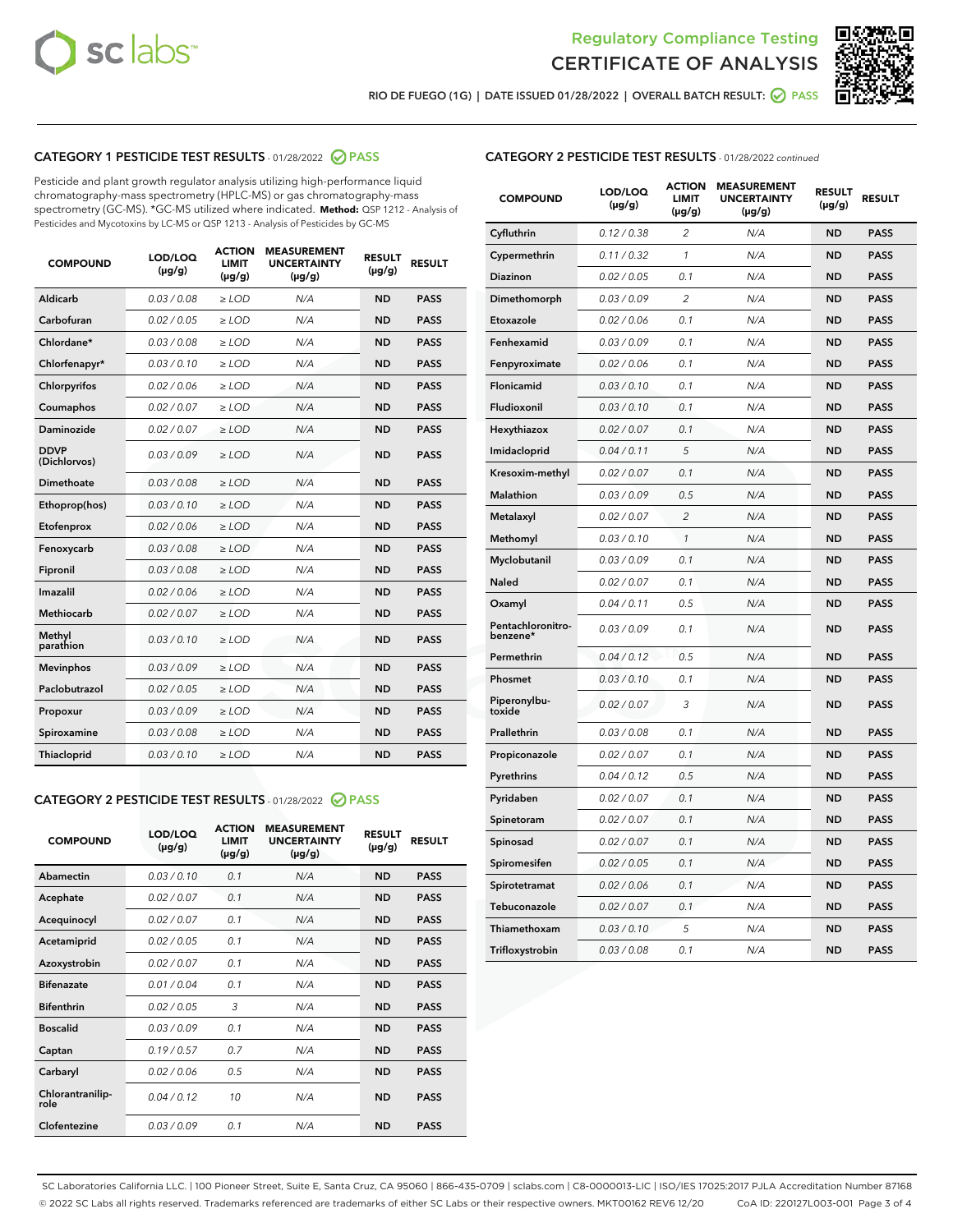



RIO DE FUEGO (1G) | DATE ISSUED 01/28/2022 | OVERALL BATCH RESULT:  $\bigcirc$  PASS

#### CATEGORY 1 PESTICIDE TEST RESULTS - 01/28/2022 2 PASS

Pesticide and plant growth regulator analysis utilizing high-performance liquid chromatography-mass spectrometry (HPLC-MS) or gas chromatography-mass spectrometry (GC-MS). \*GC-MS utilized where indicated. **Method:** QSP 1212 - Analysis of Pesticides and Mycotoxins by LC-MS or QSP 1213 - Analysis of Pesticides by GC-MS

| <b>COMPOUND</b>             | LOD/LOQ<br>$(\mu g/g)$ | <b>ACTION</b><br><b>LIMIT</b><br>$(\mu q/q)$ | <b>MEASUREMENT</b><br><b>UNCERTAINTY</b><br>$(\mu g/g)$ | <b>RESULT</b><br>$(\mu g/g)$ | <b>RESULT</b> |
|-----------------------------|------------------------|----------------------------------------------|---------------------------------------------------------|------------------------------|---------------|
| Aldicarb                    | 0.03/0.08              | $\ge$ LOD                                    | N/A                                                     | <b>ND</b>                    | <b>PASS</b>   |
| Carbofuran                  | 0.02 / 0.05            | $\ge$ LOD                                    | N/A                                                     | <b>ND</b>                    | <b>PASS</b>   |
| Chlordane*                  | 0.03 / 0.08            | $\ge$ LOD                                    | N/A                                                     | <b>ND</b>                    | <b>PASS</b>   |
| Chlorfenapyr*               | 0.03/0.10              | $\ge$ LOD                                    | N/A                                                     | <b>ND</b>                    | <b>PASS</b>   |
| Chlorpyrifos                | 0.02 / 0.06            | $\ge$ LOD                                    | N/A                                                     | <b>ND</b>                    | <b>PASS</b>   |
| Coumaphos                   | 0.02 / 0.07            | $\ge$ LOD                                    | N/A                                                     | <b>ND</b>                    | <b>PASS</b>   |
| Daminozide                  | 0.02 / 0.07            | $\ge$ LOD                                    | N/A                                                     | <b>ND</b>                    | <b>PASS</b>   |
| <b>DDVP</b><br>(Dichlorvos) | 0.03/0.09              | $\ge$ LOD                                    | N/A                                                     | <b>ND</b>                    | <b>PASS</b>   |
| Dimethoate                  | 0.03 / 0.08            | $\ge$ LOD                                    | N/A                                                     | <b>ND</b>                    | <b>PASS</b>   |
| Ethoprop(hos)               | 0.03/0.10              | $\ge$ LOD                                    | N/A                                                     | <b>ND</b>                    | <b>PASS</b>   |
| Etofenprox                  | 0.02/0.06              | $>$ LOD                                      | N/A                                                     | <b>ND</b>                    | <b>PASS</b>   |
| Fenoxycarb                  | 0.03 / 0.08            | $\ge$ LOD                                    | N/A                                                     | <b>ND</b>                    | <b>PASS</b>   |
| Fipronil                    | 0.03/0.08              | $>$ LOD                                      | N/A                                                     | <b>ND</b>                    | <b>PASS</b>   |
| Imazalil                    | 0.02 / 0.06            | $\ge$ LOD                                    | N/A                                                     | <b>ND</b>                    | <b>PASS</b>   |
| Methiocarb                  | 0.02 / 0.07            | $\ge$ LOD                                    | N/A                                                     | <b>ND</b>                    | <b>PASS</b>   |
| Methyl<br>parathion         | 0.03/0.10              | $>$ LOD                                      | N/A                                                     | <b>ND</b>                    | <b>PASS</b>   |
| <b>Mevinphos</b>            | 0.03/0.09              | $>$ LOD                                      | N/A                                                     | <b>ND</b>                    | <b>PASS</b>   |
| Paclobutrazol               | 0.02 / 0.05            | $>$ LOD                                      | N/A                                                     | <b>ND</b>                    | <b>PASS</b>   |
| Propoxur                    | 0.03/0.09              | $\ge$ LOD                                    | N/A                                                     | <b>ND</b>                    | <b>PASS</b>   |
| Spiroxamine                 | 0.03 / 0.08            | $\ge$ LOD                                    | N/A                                                     | <b>ND</b>                    | <b>PASS</b>   |
| Thiacloprid                 | 0.03/0.10              | $\ge$ LOD                                    | N/A                                                     | <b>ND</b>                    | <b>PASS</b>   |

#### CATEGORY 2 PESTICIDE TEST RESULTS - 01/28/2022 PASS

| <b>COMPOUND</b>          | LOD/LOO<br>$(\mu g/g)$ | <b>ACTION</b><br>LIMIT<br>$(\mu g/g)$ | <b>MEASUREMENT</b><br><b>UNCERTAINTY</b><br>$(\mu g/g)$ | <b>RESULT</b><br>$(\mu g/g)$ | <b>RESULT</b> |
|--------------------------|------------------------|---------------------------------------|---------------------------------------------------------|------------------------------|---------------|
| Abamectin                | 0.03/0.10              | 0.1                                   | N/A                                                     | <b>ND</b>                    | <b>PASS</b>   |
| Acephate                 | 0.02/0.07              | 0.1                                   | N/A                                                     | <b>ND</b>                    | <b>PASS</b>   |
| Acequinocyl              | 0.02/0.07              | 0.1                                   | N/A                                                     | <b>ND</b>                    | <b>PASS</b>   |
| Acetamiprid              | 0.02/0.05              | 0.1                                   | N/A                                                     | <b>ND</b>                    | <b>PASS</b>   |
| Azoxystrobin             | 0.02/0.07              | 0.1                                   | N/A                                                     | <b>ND</b>                    | <b>PASS</b>   |
| <b>Bifenazate</b>        | 0.01/0.04              | 0.1                                   | N/A                                                     | <b>ND</b>                    | <b>PASS</b>   |
| <b>Bifenthrin</b>        | 0.02/0.05              | 3                                     | N/A                                                     | <b>ND</b>                    | <b>PASS</b>   |
| <b>Boscalid</b>          | 0.03/0.09              | 0.1                                   | N/A                                                     | <b>ND</b>                    | <b>PASS</b>   |
| Captan                   | 0.19/0.57              | 0.7                                   | N/A                                                     | <b>ND</b>                    | <b>PASS</b>   |
| Carbaryl                 | 0.02/0.06              | 0.5                                   | N/A                                                     | <b>ND</b>                    | <b>PASS</b>   |
| Chlorantranilip-<br>role | 0.04/0.12              | 10                                    | N/A                                                     | <b>ND</b>                    | <b>PASS</b>   |
| Clofentezine             | 0.03/0.09              | 0.1                                   | N/A                                                     | <b>ND</b>                    | <b>PASS</b>   |

#### CATEGORY 2 PESTICIDE TEST RESULTS - 01/28/2022 continued

| <b>COMPOUND</b>               | LOD/LOQ<br>(µg/g) | <b>ACTION</b><br><b>LIMIT</b><br>$(\mu g/g)$ | <b>MEASUREMENT</b><br><b>UNCERTAINTY</b><br>$(\mu g/g)$ | <b>RESULT</b><br>(µg/g) | <b>RESULT</b> |
|-------------------------------|-------------------|----------------------------------------------|---------------------------------------------------------|-------------------------|---------------|
| Cyfluthrin                    | 0.12 / 0.38       | $\overline{c}$                               | N/A                                                     | <b>ND</b>               | <b>PASS</b>   |
| Cypermethrin                  | 0.11 / 0.32       | 1                                            | N/A                                                     | ND                      | <b>PASS</b>   |
| Diazinon                      | 0.02 / 0.05       | 0.1                                          | N/A                                                     | ND                      | <b>PASS</b>   |
| Dimethomorph                  | 0.03 / 0.09       | 2                                            | N/A                                                     | ND                      | <b>PASS</b>   |
| Etoxazole                     | 0.02 / 0.06       | 0.1                                          | N/A                                                     | <b>ND</b>               | <b>PASS</b>   |
| Fenhexamid                    | 0.03 / 0.09       | 0.1                                          | N/A                                                     | <b>ND</b>               | <b>PASS</b>   |
| Fenpyroximate                 | 0.02 / 0.06       | 0.1                                          | N/A                                                     | ND                      | <b>PASS</b>   |
| Flonicamid                    | 0.03 / 0.10       | 0.1                                          | N/A                                                     | ND                      | <b>PASS</b>   |
| Fludioxonil                   | 0.03 / 0.10       | 0.1                                          | N/A                                                     | <b>ND</b>               | <b>PASS</b>   |
| Hexythiazox                   | 0.02 / 0.07       | 0.1                                          | N/A                                                     | ND                      | <b>PASS</b>   |
| Imidacloprid                  | 0.04 / 0.11       | 5                                            | N/A                                                     | ND                      | <b>PASS</b>   |
| Kresoxim-methyl               | 0.02 / 0.07       | 0.1                                          | N/A                                                     | <b>ND</b>               | <b>PASS</b>   |
| <b>Malathion</b>              | 0.03 / 0.09       | 0.5                                          | N/A                                                     | ND                      | <b>PASS</b>   |
| Metalaxyl                     | 0.02 / 0.07       | $\overline{c}$                               | N/A                                                     | ND                      | <b>PASS</b>   |
| Methomyl                      | 0.03 / 0.10       | 1                                            | N/A                                                     | <b>ND</b>               | <b>PASS</b>   |
| Myclobutanil                  | 0.03 / 0.09       | 0.1                                          | N/A                                                     | ND                      | <b>PASS</b>   |
| Naled                         | 0.02 / 0.07       | 0.1                                          | N/A                                                     | ND                      | <b>PASS</b>   |
| Oxamyl                        | 0.04 / 0.11       | 0.5                                          | N/A                                                     | ND                      | <b>PASS</b>   |
| Pentachloronitro-<br>benzene* | 0.03 / 0.09       | 0.1                                          | N/A                                                     | ND                      | <b>PASS</b>   |
| Permethrin                    | 0.04 / 0.12       | 0.5                                          | N/A                                                     | <b>ND</b>               | <b>PASS</b>   |
| Phosmet                       | 0.03 / 0.10       | 0.1                                          | N/A                                                     | <b>ND</b>               | <b>PASS</b>   |
| Piperonylbu-<br>toxide        | 0.02 / 0.07       | 3                                            | N/A                                                     | ND                      | <b>PASS</b>   |
| Prallethrin                   | 0.03 / 0.08       | 0.1                                          | N/A                                                     | <b>ND</b>               | <b>PASS</b>   |
| Propiconazole                 | 0.02 / 0.07       | 0.1                                          | N/A                                                     | ND                      | <b>PASS</b>   |
| Pyrethrins                    | 0.04 / 0.12       | 0.5                                          | N/A                                                     | ND                      | <b>PASS</b>   |
| Pyridaben                     | 0.02 / 0.07       | 0.1                                          | N/A                                                     | ND                      | <b>PASS</b>   |
| Spinetoram                    | 0.02 / 0.07       | 0.1                                          | N/A                                                     | ND                      | <b>PASS</b>   |
| Spinosad                      | 0.02 / 0.07       | 0.1                                          | N/A                                                     | ND                      | <b>PASS</b>   |
| Spiromesifen                  | 0.02 / 0.05       | 0.1                                          | N/A                                                     | <b>ND</b>               | <b>PASS</b>   |
| Spirotetramat                 | 0.02 / 0.06       | 0.1                                          | N/A                                                     | ND                      | <b>PASS</b>   |
| Tebuconazole                  | 0.02 / 0.07       | 0.1                                          | N/A                                                     | ND                      | <b>PASS</b>   |
| Thiamethoxam                  | 0.03 / 0.10       | 5                                            | N/A                                                     | <b>ND</b>               | <b>PASS</b>   |
| Trifloxystrobin               | 0.03 / 0.08       | 0.1                                          | N/A                                                     | <b>ND</b>               | <b>PASS</b>   |

SC Laboratories California LLC. | 100 Pioneer Street, Suite E, Santa Cruz, CA 95060 | 866-435-0709 | sclabs.com | C8-0000013-LIC | ISO/IES 17025:2017 PJLA Accreditation Number 87168 © 2022 SC Labs all rights reserved. Trademarks referenced are trademarks of either SC Labs or their respective owners. MKT00162 REV6 12/20 CoA ID: 220127L003-001 Page 3 of 4